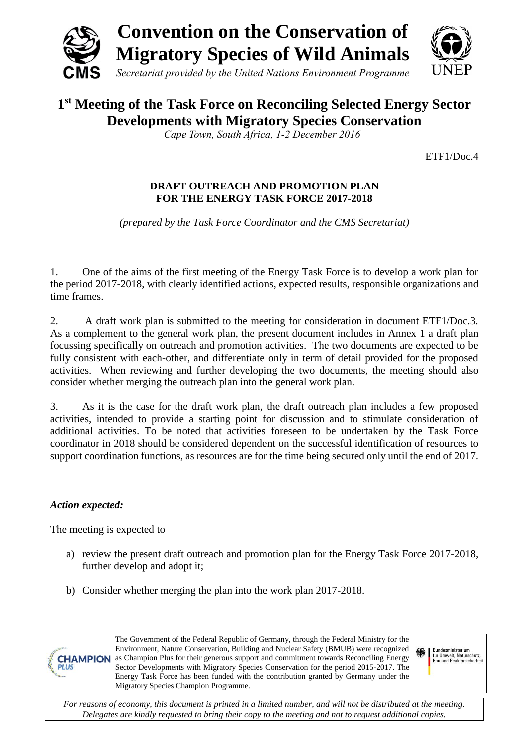

# **1 st Meeting of the Task Force on Reconciling Selected Energy Sector Developments with Migratory Species Conservation**

*Cape Town, South Africa, 1-2 December 2016*

ETF1/Doc.4

# **DRAFT OUTREACH AND PROMOTION PLAN FOR THE ENERGY TASK FORCE 2017-2018**

*(prepared by the Task Force Coordinator and the CMS Secretariat)*

1. One of the aims of the first meeting of the Energy Task Force is to develop a work plan for the period 2017-2018, with clearly identified actions, expected results, responsible organizations and time frames.

2. A draft work plan is submitted to the meeting for consideration in document ETF1/Doc.3. As a complement to the general work plan, the present document includes in Annex 1 a draft plan focussing specifically on outreach and promotion activities. The two documents are expected to be fully consistent with each-other, and differentiate only in term of detail provided for the proposed activities. When reviewing and further developing the two documents, the meeting should also consider whether merging the outreach plan into the general work plan.

3. As it is the case for the draft work plan, the draft outreach plan includes a few proposed activities, intended to provide a starting point for discussion and to stimulate consideration of additional activities. To be noted that activities foreseen to be undertaken by the Task Force coordinator in 2018 should be considered dependent on the successful identification of resources to support coordination functions, as resources are for the time being secured only until the end of 2017.

# *Action expected:*

**PLUS** 

The meeting is expected to

- a) review the present draft outreach and promotion plan for the Energy Task Force 2017-2018, further develop and adopt it;
- b) Consider whether merging the plan into the work plan 2017-2018.

The Government of the Federal Republic of Germany, through the Federal Ministry for the Environment, Nature Conservation, Building and Nuclear Safety (BMUB) were recognized **CHAMPION** as Champion Plus for their generous support and commitment towards Reconciling Energy Sector Developments with Migratory Species Conservation for the period 2015-2017. The Energy Task Force has been funded with the contribution granted by Germany under the Migratory Species Champion Programme.

Bundesministerium<br>für Umwelt, Naturschutz,<br>Bau und Reaktorsicherheit

*For reasons of economy, this document is printed in a limited number, and will not be distributed at the meeting. Delegates are kindly requested to bring their copy to the meeting and not to request additional copies.*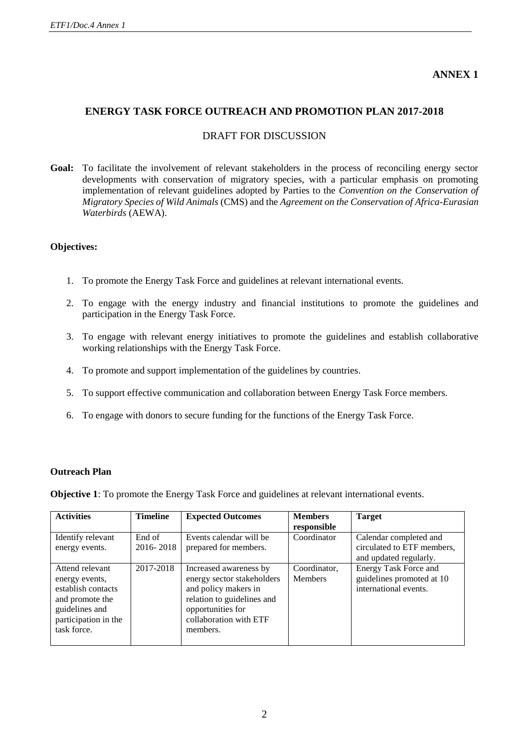# **ANNEX 1**

## **ENERGY TASK FORCE OUTREACH AND PROMOTION PLAN 2017-2018**

## DRAFT FOR DISCUSSION

Goal: To facilitate the involvement of relevant stakeholders in the process of reconciling energy sector developments with conservation of migratory species, with a particular emphasis on promoting implementation of relevant guidelines adopted by Parties to the *Convention on the Conservation of Migratory Species of Wild Animals* (CMS) and the *Agreement on the Conservation of Africa-Eurasian Waterbirds* (AEWA).

#### **Objectives:**

- 1. To promote the Energy Task Force and guidelines at relevant international events.
- 2. To engage with the energy industry and financial institutions to promote the guidelines and participation in the Energy Task Force.
- 3. To engage with relevant energy initiatives to promote the guidelines and establish collaborative working relationships with the Energy Task Force.
- 4. To promote and support implementation of the guidelines by countries.
- 5. To support effective communication and collaboration between Energy Task Force members.
- 6. To engage with donors to secure funding for the functions of the Energy Task Force.

#### **Outreach Plan**

**Objective 1**: To promote the Energy Task Force and guidelines at relevant international events.

| <b>Activities</b>    | <b>Timeline</b> | <b>Expected Outcomes</b>   | <b>Members</b> | <b>Target</b>              |
|----------------------|-----------------|----------------------------|----------------|----------------------------|
|                      |                 |                            | responsible    |                            |
| Identify relevant    | End of          | Events calendar will be    | Coordinator    | Calendar completed and     |
| energy events.       | 2016-2018       | prepared for members.      |                | circulated to ETF members, |
|                      |                 |                            |                | and updated regularly.     |
| Attend relevant      | 2017-2018       | Increased awareness by     | Coordinator,   | Energy Task Force and      |
| energy events,       |                 | energy sector stakeholders | <b>Members</b> | guidelines promoted at 10  |
| establish contacts   |                 | and policy makers in       |                | international events.      |
| and promote the      |                 | relation to guidelines and |                |                            |
| guidelines and       |                 | opportunities for          |                |                            |
| participation in the |                 | collaboration with ETF     |                |                            |
| task force.          |                 | members.                   |                |                            |
|                      |                 |                            |                |                            |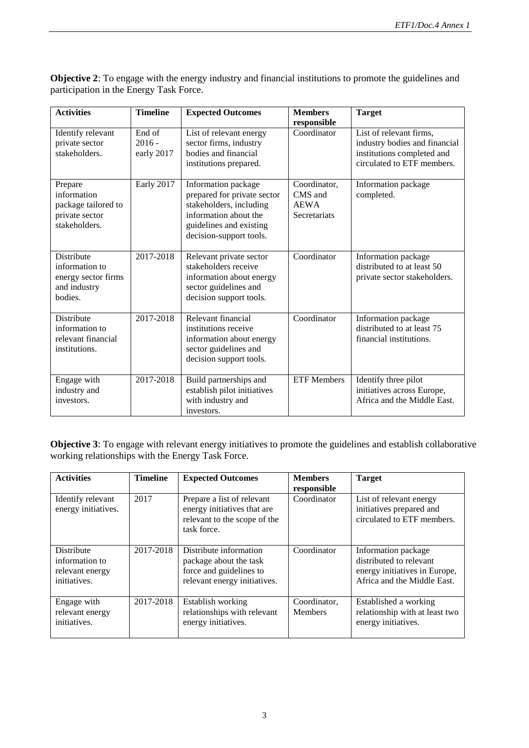| <b>Activities</b>                                                                     | <b>Timeline</b>                  | <b>Expected Outcomes</b>                                                                                                                                     | <b>Members</b><br>responsible                          | <b>Target</b>                                                                                                        |
|---------------------------------------------------------------------------------------|----------------------------------|--------------------------------------------------------------------------------------------------------------------------------------------------------------|--------------------------------------------------------|----------------------------------------------------------------------------------------------------------------------|
| Identify relevant<br>private sector<br>stakeholders.                                  | End of<br>$2016 -$<br>early 2017 | List of relevant energy<br>sector firms, industry<br>bodies and financial<br>institutions prepared.                                                          | Coordinator                                            | List of relevant firms,<br>industry bodies and financial<br>institutions completed and<br>circulated to ETF members. |
| Prepare<br>information<br>package tailored to<br>private sector<br>stakeholders.      | Early 2017                       | Information package<br>prepared for private sector<br>stakeholders, including<br>information about the<br>guidelines and existing<br>decision-support tools. | Coordinator,<br>CMS and<br><b>AEWA</b><br>Secretariats | Information package<br>completed.                                                                                    |
| <b>Distribute</b><br>information to<br>energy sector firms<br>and industry<br>bodies. | 2017-2018                        | Relevant private sector<br>stakeholders receive<br>information about energy<br>sector guidelines and<br>decision support tools.                              | Coordinator                                            | Information package<br>distributed to at least 50<br>private sector stakeholders.                                    |
| Distribute<br>information to<br>relevant financial<br>institutions.                   | 2017-2018                        | Relevant financial<br>institutions receive<br>information about energy<br>sector guidelines and<br>decision support tools.                                   | Coordinator                                            | Information package<br>distributed to at least 75<br>financial institutions.                                         |
| Engage with<br>industry and<br>investors.                                             | 2017-2018                        | Build partnerships and<br>establish pilot initiatives<br>with industry and<br>investors.                                                                     | <b>ETF Members</b>                                     | Identify three pilot<br>initiatives across Europe,<br>Africa and the Middle East.                                    |

**Objective 2**: To engage with the energy industry and financial institutions to promote the guidelines and participation in the Energy Task Force.

**Objective 3**: To engage with relevant energy initiatives to promote the guidelines and establish collaborative working relationships with the Energy Task Force.

| <b>Activities</b>                                                      | <b>Timeline</b> | <b>Expected Outcomes</b>                                                                                    | <b>Members</b><br>responsible  | <b>Target</b>                                                                                                  |
|------------------------------------------------------------------------|-----------------|-------------------------------------------------------------------------------------------------------------|--------------------------------|----------------------------------------------------------------------------------------------------------------|
| Identify relevant<br>energy initiatives.                               | 2017            | Prepare a list of relevant<br>energy initiatives that are<br>relevant to the scope of the<br>task force.    | Coordinator                    | List of relevant energy<br>initiatives prepared and<br>circulated to ETF members.                              |
| <b>Distribute</b><br>information to<br>relevant energy<br>initiatives. | 2017-2018       | Distribute information<br>package about the task<br>force and guidelines to<br>relevant energy initiatives. | Coordinator                    | Information package<br>distributed to relevant<br>energy initiatives in Europe,<br>Africa and the Middle East. |
| Engage with<br>relevant energy<br>initiatives.                         | 2017-2018       | Establish working<br>relationships with relevant<br>energy initiatives.                                     | Coordinator.<br><b>Members</b> | Established a working<br>relationship with at least two<br>energy initiatives.                                 |